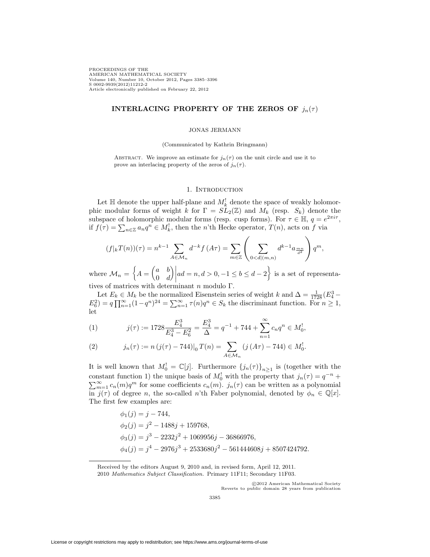PROCEEDINGS OF THE AMERICAN MATHEMATICAL SOCIETY Volume 140, Number 10, October 2012, Pages 3385–3396 S 0002-9939(2012)11212-2 Article electronically published on February 22, 2012

## **INTERLACING PROPERTY OF THE ZEROS OF**  $j_n(\tau)$

### JONAS JERMANN

(Communicated by Kathrin Bringmann)

ABSTRACT. We improve an estimate for  $j_n(\tau)$  on the unit circle and use it to prove an interlacing property of the zeros of  $j_n(\tau)$ .

## 1. INTRODUCTION

Let  $\mathbb H$  denote the upper half-plane and  $M_k^!$  denote the space of weakly holomorphic modular forms of weight k for  $\Gamma = S\tilde{L}_2(\mathbb{Z})$  and  $M_k$  (resp.  $S_k$ ) denote the subspace of holomorphic modular forms (resp. cusp forms). For  $\tau \in \mathbb{H}$ ,  $q = e^{2\pi i \tau}$ , if  $f(\tau) = \sum_{n \in \mathbb{Z}} a_n q^n \in M_k^!$ , then the *n*'th Hecke operator,  $T(n)$ , acts on f via

$$
(f|_kT(n))(\tau) = n^{k-1} \sum_{A \in \mathcal{M}_n} d^{-k} f(A\tau) = \sum_{m \in \mathbb{Z}} \left( \sum_{0 < d | (m,n)} d^{k-1} a_{\frac{mn}{d^2}} \right) q^m,
$$

where  $\mathcal{M}_n = \begin{cases} A = \begin{pmatrix} a & b \\ 0 & d \end{pmatrix}$  $0 \t d$  $\Big) \Big|$  $ad = n, d > 0, -1 \leq b \leq d - 2$  is a set of representatives of matrices with determinant  $n$  modulo Γ.

Let  $E_k \in M_k$  be the normalized Eisenstein series of weight k and  $\Delta = \frac{1}{1728} (E_4^3 E_6^2 = q \prod_{n=1}^{\infty} (1 - q^n)^{24} = \sum_{n=1}^{\infty} \tau(n) q^n \in S_k$  the discriminant function. For  $n \ge 1$ , let

(1) 
$$
j(\tau) := 1728 \frac{E_4^3}{E_4^3 - E_6^2} = \frac{E_4^3}{\Delta} = q^{-1} + 744 + \sum_{n=1}^{\infty} c_n q^n \in M_0^1,
$$

<span id="page-0-0"></span>(2) 
$$
j_n(\tau) := n (j(\tau) - 744) \big|_0 T(n) = \sum_{A \in \mathcal{M}_n} (j (A\tau) - 744) \in M_0^!
$$

It is well known that  $M_0^! = \mathbb{C}[j]$ . Furthermore  $\{j_n(\tau)\}_{n \geq 1}$  is (together with the constant function 1) the unique basis of  $M_0^1$  with the property that  $j_n(\tau) = q^{-n} + \nabla^{\infty} \cdot c_n(m)q^m$  for some coefficients  $c_n(m) - j_n(\tau)$  can be written as a polynomial  $\sum_{m=1}^{\infty} c_n(m)q^m$  for some coefficients  $c_n(m)$ .  $j_n(\tau)$  can be written as a polynomial in  $j(\tau)$  of degree n, the so-called n'th Faber polynomial, denoted by  $\phi_n \in \mathbb{Q}[x]$ . The first few examples are:

$$
\phi_1(j) = j - 744,
$$
  
\n
$$
\phi_2(j) = j^2 - 1488j + 159768,
$$
  
\n
$$
\phi_3(j) = j^3 - 2232j^2 + 1069956j - 36866976,
$$
  
\n
$$
\phi_4(j) = j^4 - 2976j^3 + 2533680j^2 - 561444608j + 8507424792.
$$

-c 2012 American Mathematical Society Reverts to public domain 28 years from publication

Received by the editors August 9, 2010 and, in revised form, April 12, 2011. 2010 Mathematics Subject Classification. Primary 11F11; Secondary 11F03.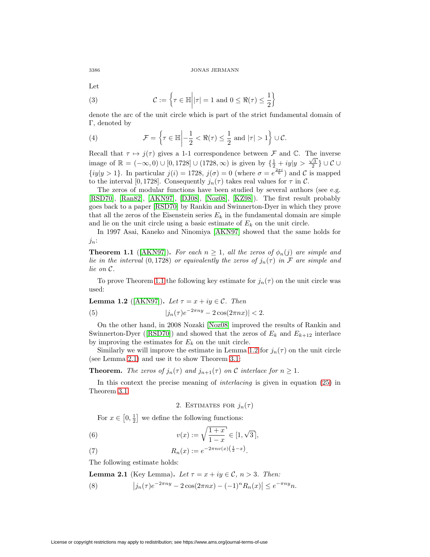Let

(3) 
$$
\mathcal{C} := \left\{ \tau \in \mathbb{H} \middle| |\tau| = 1 \text{ and } 0 \leq \Re(\tau) \leq \frac{1}{2} \right\}
$$

denote the arc of the unit circle which is part of the strict fundamental domain of Γ, denoted by

(4) 
$$
\mathcal{F} = \left\{ \tau \in \mathbb{H} \middle| -\frac{1}{2} < \Re(\tau) \leq \frac{1}{2} \text{ and } |\tau| > 1 \right\} \cup \mathcal{C}.
$$

Recall that  $\tau \mapsto j(\tau)$  gives a 1-1 correspondence between F and C. The inverse image of  $\mathbb{R} = (-\infty, 0) \cup [0, 1728] \cup (1728, \infty)$  is given by  $\{\frac{1}{2} + iy \mid y > \frac{\sqrt{3}}{2}\} \cup C \cup$  $\{iy|y>1\}$ . In particular  $j(i) = 1728$ ,  $j(\sigma) = 0$  (where  $\sigma = e^{\frac{2\pi i}{6}}$ ) and C is mapped to the interval [0, 1728]. Consequently  $j_n(\tau)$  takes real values for  $\tau$  in  $\mathcal{C}$ .

The zeros of modular functions have been studied by several authors (see e.g. [\[RSD70\]](#page-11-0), [\[Ran82\]](#page-11-1), [\[AKN97\]](#page-11-2), [\[DJ08\]](#page-11-3), [\[Noz08\]](#page-11-4), [\[KZ98\]](#page-11-5)). The first result probably goes back to a paper [\[RSD70\]](#page-11-0) by Rankin and Swinnerton-Dyer in which they prove that all the zeros of the Eisenstein series  $E_k$  in the fundamental domain are simple and lie on the unit circle using a basic estimate of  $E<sub>k</sub>$  on the unit circle.

In 1997 Asai, Kaneko and Ninomiya [\[AKN97\]](#page-11-2) showed that the same holds for  $j_n$ :

<span id="page-1-0"></span>**Theorem 1.1** ([\[AKN97\]](#page-11-2)). For each  $n \geq 1$ , all the zeros of  $\phi_n(j)$  are simple and lie in the interval (0,1728) or equivalently the zeros of  $j_n(\tau)$  in F are simple and lie on C.

To prove Theorem [1.1](#page-1-0) the following key estimate for  $j_n(\tau)$  on the unit circle was used:

<span id="page-1-3"></span><span id="page-1-1"></span>**Lemma 1.2** ([AKN97]). Let 
$$
\tau = x + iy \in C
$$
. Then  
(5)  $|j_n(\tau)e^{-2\pi ny} - 2\cos(2\pi nx)| < 2$ .

On the other hand, in 2008 Nozaki [\[Noz08\]](#page-11-4) improved the results of Rankin and Swinnerton-Dyer ([\[RSD70\]](#page-11-0)) and showed that the zeros of  $E_k$  and  $E_{k+12}$  interlace by improving the estimates for  $E_k$  on the unit circle.

Similarly we will improve the estimate in Lemma [1.2](#page-1-1) for  $j_n(\tau)$  on the unit circle (see Lemma [2.1\)](#page-1-2) and use it to show Theorem [3.1:](#page-6-0)

**Theorem.** The zeros of  $j_n(\tau)$  and  $j_{n+1}(\tau)$  on C interlace for  $n \geq 1$ .

In this context the precise meaning of interlacing is given in equation [\(25\)](#page-6-1) in Theorem [3.1.](#page-6-0)

2. ESTIMATES FOR  $j_n(\tau)$ 

For  $x \in [0, \frac{1}{2}]$  we define the following functions:

(6) 
$$
v(x) := \sqrt{\frac{1+x}{1-x}} \in [1, \sqrt{3}],
$$

(7) 
$$
R_n(x) := e^{-2\pi nv(x)\left(\frac{1}{2} - x\right)}.
$$

The following estimate holds:

<span id="page-1-2"></span>**Lemma 2.1** (Key Lemma). Let  $\tau = x + iy \in \mathcal{C}$ ,  $n > 3$ . Then:

<span id="page-1-4"></span>(8) 
$$
\left| j_n(\tau) e^{-2\pi ny} - 2\cos(2\pi nx) - (-1)^n R_n(x) \right| \le e^{-\pi ny} n.
$$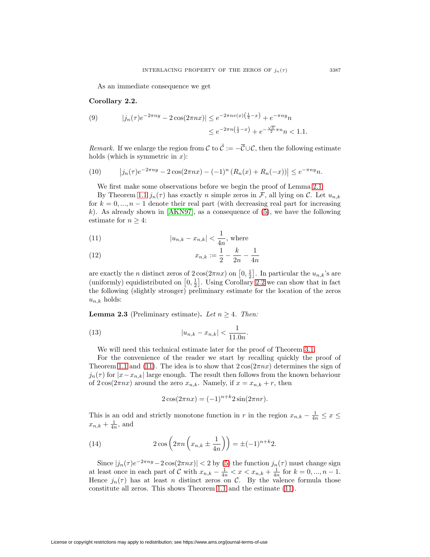As an immediate consequence we get

## <span id="page-2-0"></span>**Corollary 2.2.**

(9) 
$$
|j_n(\tau)e^{-2\pi ny} - 2\cos(2\pi nx)| \le e^{-2\pi nv(x)\left(\frac{1}{2} - x\right)} + e^{-\pi ny}n
$$

$$
\le e^{-2\pi n\left(\frac{1}{2} - x\right)} + e^{-\frac{\sqrt{3}}{2}\pi n}n < 1.1.
$$

Remark. If we enlarge the region from C to  $\tilde{\mathcal{C}} := -\overline{\mathcal{C}} \cup \mathcal{C}$ , then the following estimate holds (which is symmetric in  $x$ ):

<span id="page-2-4"></span>(10) 
$$
\left|j_n(\tau)e^{-2\pi ny} - 2\cos(2\pi nx) - (-1)^n (R_n(x) + R_n(-x))\right| \le e^{-\pi ny} n.
$$

We first make some observations before we begin the proof of Lemma [2.1:](#page-1-2)

By Theorem [1.1](#page-1-0)  $j_n(\tau)$  has exactly n simple zeros in F, all lying on C. Let  $u_{n,k}$ for  $k = 0, ..., n - 1$  denote their real part (with decreasing real part for increasing k). As already shown in [\[AKN97\]](#page-11-2), as a consequence of  $(5)$ , we have the following estimate for  $n \geq 4$ :

<span id="page-2-1"></span>(11) 
$$
|u_{n,k} - x_{n,k}| < \frac{1}{4n}
$$
, where

(12) 
$$
x_{n,k} := \frac{1}{2} - \frac{k}{2n} - \frac{1}{4n}
$$

are exactly the *n* distinct zeros of  $2\cos(2\pi nx)$  on  $[0, \frac{1}{2}]$ . In particular the  $u_{n,k}$ 's are (uniformly) equidistributed on  $[0, \frac{1}{2}]$ . Using Corollary [2.2](#page-2-0) we can show that in fact the following (slightly stronger) preliminary estimate for the location of the zeros  $u_{n,k}$  holds:

<span id="page-2-5"></span>**Lemma 2.3** (Preliminary estimate). Let  $n \geq 4$ . Then:

<span id="page-2-2"></span>(13) 
$$
|u_{n,k} - x_{n,k}| < \frac{1}{11.0n}.
$$

We will need this technical estimate later for the proof of Theorem [3.1.](#page-6-0)

For the convenience of the reader we start by recalling quickly the proof of Theorem [1.1](#page-1-0) and [\(11\)](#page-2-1). The idea is to show that  $2\cos(2\pi nx)$  determines the sign of  $j_n(\tau)$  for  $|x-x_{n,k}|$  large enough. The result then follows from the known behaviour of  $2\cos(2\pi nx)$  around the zero  $x_{n,k}$ . Namely, if  $x = x_{n,k} + r$ , then

$$
2\cos(2\pi nx) = (-1)^{n+k} 2\sin(2\pi nr).
$$

This is an odd and strictly monotone function in r in the region  $x_{n,k} - \frac{1}{4n} \leq x \leq$  $x_{n,k} + \frac{1}{4n}$ , and

<span id="page-2-3"></span>(14) 
$$
2 \cos \left( 2 \pi n \left( x_{n,k} \pm \frac{1}{4n} \right) \right) = \pm (-1)^{n+k} 2.
$$

Since  $|j_n(\tau)e^{-2\pi ny}-2\cos(2\pi nx)| < 2$  by [\(5\)](#page-1-3) the function  $j_n(\tau)$  must change sign at least once in each part of C with  $x_{n,k} - \frac{1}{4n} < x < x_{n,k} + \frac{1}{4n}$  for  $k = 0, ..., n - 1$ . Hence  $j_n(\tau)$  has at least n distinct zeros on C. By the valence formula those constitute all zeros. This shows Theorem [1.1](#page-1-0) and the estimate [\(11\)](#page-2-1).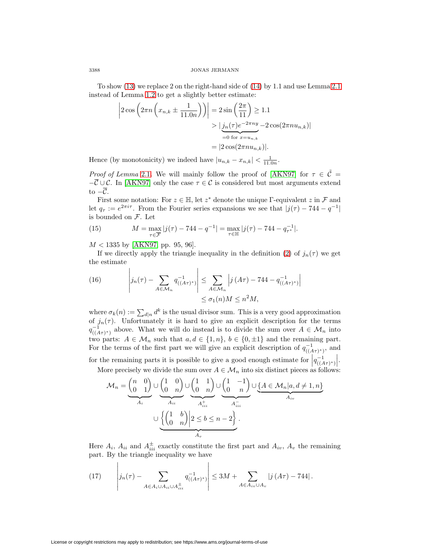To show [\(13\)](#page-2-2) we replace 2 on the right-hand side of [\(14\)](#page-2-3) by 1.1 and use Lemma [2.1](#page-1-2) instead of Lemma [1.2](#page-1-1) to get a slightly better estimate:

$$
\left|2\cos\left(2\pi n\left(x_{n,k}\pm\frac{1}{11.0n}\right)\right)\right| = 2\sin\left(\frac{2\pi}{11}\right) \ge 1.1
$$

$$
>\left|\underbrace{j_n(\tau)e^{-2\pi ny}}_{=0 \text{ for } x=u_{n,k}} - 2\cos(2\pi nu_{n,k})\right|
$$

$$
= |2\cos(2\pi nu_{n,k})|.
$$

Hence (by monotonicity) we indeed have  $|u_{n,k} - x_{n,k}| < \frac{1}{11.0n}$ .

*Proof of Lemma* [2.1](#page-1-2). We will mainly follow the proof of [\[AKN97\]](#page-11-2) for  $\tau \in \tilde{C}$  =  $-\overline{\mathcal{C}}\cup\mathcal{C}$ . In [\[AKN97\]](#page-11-2) only the case  $\tau\in\mathcal{C}$  is considered but most arguments extend to  $-\overline{\mathcal{C}}$ .

First some notation: For  $z \in \mathbb{H}$ , let  $z^*$  denote the unique Γ-equivalent z in F and let  $q_{\tau} := e^{2\pi i \tau}$ . From the Fourier series expansions we see that  $|j(\tau) - 744 - q^{-1}|$ is bounded on F. Let

<span id="page-3-1"></span>(15) 
$$
M = \max_{\tau \in \overline{\mathcal{F}}} |j(\tau) - 744 - q^{-1}| = \max_{\tau \in \mathbb{H}} |j(\tau) - 744 - q_{\tau^*}^{-1}|.
$$

 $M < 1335$  by [\[AKN97,](#page-11-2) pp. 95, 96].

If we directly apply the triangle inequality in the definition [\(2\)](#page-0-0) of  $j_n(\tau)$  we get the estimate

(16) 
$$
\left| j_n(\tau) - \sum_{A \in \mathcal{M}_n} q_{((A\tau)^*)}^{-1} \right| \leq \sum_{A \in \mathcal{M}_n} \left| j(A\tau) - 744 - q_{((A\tau)^*)}^{-1} \right|
$$
  

$$
\leq \sigma_1(n)M \leq n^2M,
$$

where  $\sigma_k(n) := \sum_{d|n} d^k$  is the usual divisor sum. This is a very good approximation of  $j_n(\tau)$ . Unfortunately it is hard to give an explicit description for the terms  $q_{((A\tau)^*)}^{-1}$  above. What we will do instead is to divide the sum over  $A \in \mathcal{M}_n$  into two parts:  $A \in \mathcal{M}_n$  such that  $a, d \in \{1, n\}, b \in \{0, \pm 1\}$  and the remaining part. For the terms of the first part we will give an explicit description of  $q_{((A\tau)^*)}^{-1}$ , and

for the remaining parts it is possible to give a good enough estimate for  $|q_{((A_7)^*)}^{-1}|$ . More precisely we divide the sum over  $A \in \mathcal{M}_n$  into six distinct pieces as follows:

$$
\mathcal{M}_n = \underbrace{\binom{n}{0} \binom{0}{1}}_{A_i} \cup \underbrace{\binom{1}{0} \binom{0}{n}}_{A_{ii}} \cup \underbrace{\binom{1}{0} \binom{1}{n}}_{A_{iii}^+} \cup \underbrace{\binom{1}{0} \binom{-1}{n}}_{A_{iv}^-} \cup \underbrace{\{A \in \mathcal{M}_n | a, d \neq 1, n\}}_{A_{iv}^-}
$$
\n
$$
\cup \underbrace{\left\{\binom{1}{0} \binom{b}{n}\right\}^2}_{A_v} \leq b \leq n - 2 \}.
$$

Here  $A_i$ ,  $A_{ii}$  and  $A_{iii}^{\pm}$  exactly constitute the first part and  $A_{iv}$ ,  $A_v$  the remaining part. By the triangle inequality we have

<span id="page-3-0"></span>(17) 
$$
\left| j_n(\tau) - \sum_{A \in A_i \cup A_{ii} \cup A_{iii}^{\pm}} q_{((A\tau)^*)}^{-1} \right| \leq 3M + \sum_{A \in A_{iv} \cup A_v} |j(A\tau) - 744|.
$$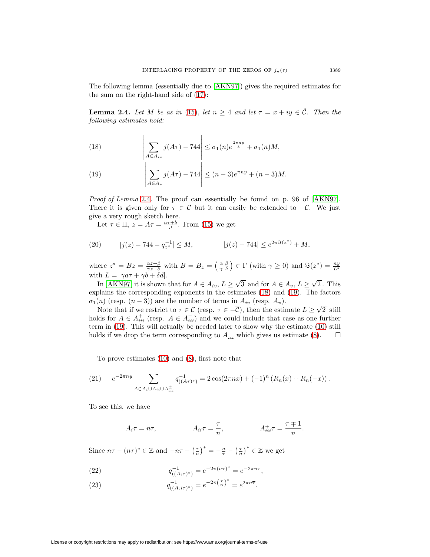The following lemma (essentially due to [\[AKN97\]](#page-11-2)) gives the required estimates for the sum on the right-hand side of [\(17\)](#page-3-0):

<span id="page-4-0"></span>**Lemma 2.4.** Let M be as in [\(15\)](#page-3-1), let  $n \geq 4$  and let  $\tau = x + iy \in \tilde{\mathcal{C}}$ . Then the following estimates hold:

<span id="page-4-1"></span>(18) 
$$
\left|\sum_{A\in A_{iv}} j(A\tau) - 744\right| \leq \sigma_1(n)e^{\frac{2\pi ny}{3}} + \sigma_1(n)M,
$$

<span id="page-4-2"></span>(19) 
$$
\left| \sum_{A \in A_v} j(A\tau) - 744 \right| \le (n-3)e^{\pi ny} + (n-3)M.
$$

Proof of Lemma [2.4](#page-4-0). The proof can essentially be found on p. 96 of [\[AKN97\]](#page-11-2). There it is given only for  $\tau \in \mathcal{C}$  but it can easily be extended to  $-\overline{\mathcal{C}}$ . We just give a very rough sketch here.

Let  $\tau \in \mathbb{H}$ ,  $z = A\tau = \frac{a\tau + b}{d}$ . From [\(15\)](#page-3-1) we get

(20) 
$$
|j(z) - 744 - q_{z^*}^{-1}| \le M
$$
,  $|j(z) - 744| \le e^{2\pi \Im(z^*)} + M$ ,

where  $z^* = Bz = \frac{\alpha z + \beta}{\gamma z + \delta}$  with  $B = B_z = \begin{pmatrix} \alpha & \beta \\ \gamma & \delta \end{pmatrix} \in \Gamma$  (with  $\gamma \ge 0$ ) and  $\Im(z^*) = \frac{ny}{L^2}$ with  $L = |\gamma a \tau + \gamma b + \delta d|$ .

In [\[AKN97\]](#page-11-2) it is shown that for  $A \in A_{iv}$ ,  $L \geq \sqrt{3}$  and for  $A \in A_{v}$ ,  $L \geq \sqrt{2}$ . This explains the corresponding exponents in the estimates [\(18\)](#page-4-1) and [\(19\)](#page-4-2). The factors  $\sigma_1(n)$  (resp.  $(n-3)$ ) are the number of terms in  $A_{iv}$  (resp.  $A_v$ ).

Note that if we restrict to  $\tau \in \mathcal{C}$  (resp.  $\tau \in -\overline{\mathcal{C}}$ ), then the estimate  $L \geq \sqrt{2}$  still holds for  $A \in A_{iii}^+$  (resp.  $A \in A_{iii}^-$ ) and we could include that case as one further term in [\(19\)](#page-4-2). This will actually be needed later to show why the estimate [\(10\)](#page-2-4) still holds if we drop the term corresponding to  $A_{iii}^+$  which gives us estimate [\(8\)](#page-1-4).  $\Box$  $\Box$ 

To prove estimates [\(10\)](#page-2-4) and [\(8\)](#page-1-4), first note that

<span id="page-4-3"></span>(21) 
$$
e^{-2\pi ny} \sum_{A \in A_i \cup A_{ii} \cup A_{iii}^{\pm}} q_{((A\tau)^*)}^{-1} = 2 \cos(2\pi nx) + (-1)^n (R_n(x) + R_n(-x)).
$$

To see this, we have

$$
A_i \tau = n\tau, \qquad A_{ii} \tau = \frac{\tau}{n}, \qquad A_{iii}^{\pm} \tau = \frac{\tau \mp 1}{n}.
$$

Since  $n\tau - (n\tau)^* \in \mathbb{Z}$  and  $-n\overline{\tau} - \left(\frac{\tau}{n}\right)^* = -\frac{n}{\tau} - \left(\frac{\tau}{n}\right)^* \in \mathbb{Z}$  we get

<span id="page-4-4"></span>(22) 
$$
q_{((A_i \tau)^*)}^{-1} = e^{-2\pi (n\tau)^*} = e^{-2\pi n\tau},
$$

<span id="page-4-5"></span>(23) 
$$
q_{((A_i i\tau)^*)}^{-1} = e^{-2\pi \left(\frac{\tau}{n}\right)^*} = e^{2\pi n \overline{\tau}}.
$$

License or copyright restrictions may apply to redistribution; see https://www.ams.org/journal-terms-of-use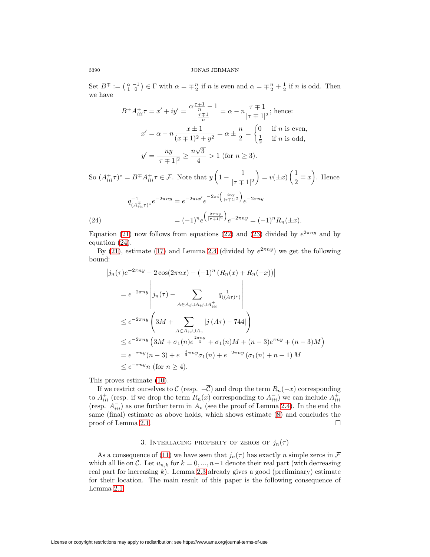Set  $B^{\mp} := \begin{pmatrix} \alpha & -1 \\ 1 & 0 \end{pmatrix} \in \Gamma$  with  $\alpha = \mp \frac{n}{2}$  if n is even and  $\alpha = \mp \frac{n}{2} + \frac{1}{2}$  if n is odd. Then we have

$$
B^{\pm}A_{iii}^{\mp}\tau = x' + iy' = \frac{\alpha \frac{\tau \mp 1}{n} - 1}{\frac{\tau \mp 1}{n}} = \alpha - n \frac{\overline{\tau} \mp 1}{|\tau \mp 1|^2}; \text{ hence:}
$$

$$
x' = \alpha - n \frac{x \pm 1}{(x \mp 1)^2 + y^2} = \alpha \pm \frac{n}{2} = \begin{cases} 0 & \text{if } n \text{ is even,} \\ \frac{1}{2} & \text{if } n \text{ is odd,} \end{cases}
$$

$$
y' = \frac{ny}{|\tau \mp 1|^2} \ge \frac{n\sqrt{3}}{4} > 1 \text{ (for } n \ge 3).
$$

$$
\exists x \in B^{\mp}A \exists x \in \mathcal{F} \text{ Note that } y \left(1 - \frac{1}{\sqrt{1 - x^2}}\right) = y(x) + x \left(\frac{1}{2} \pm x\right)
$$

So  $(A_{iii}^{\pm} \tau)^* = B^{\mp} A_{iii}^{\pm} \tau \in \mathcal{F}$ . Note that  $y\left(1 - \frac{1}{|\tau + 1|^2}\right)$  $= v(\pm x) \left(\frac{1}{2} \mp x\right)$ . Hence  $q_{(A_{iii}^{\mp}\tau)}^{-1}e^{-2\pi ny} = e^{-2\pi ix'}e^{-2\pi i \left(\frac{iny}{|\tau\mp1|^2}\right)}e^{-2\pi ny}$ (24)  $= (-1)^n e^{\left(\frac{2\pi n y}{|\tau+1|^2}\right)} e^{-2\pi n y} = (-1)^n R_n(\pm x).$ 

<span id="page-5-0"></span>Equation [\(21\)](#page-4-3) now follows from equations [\(22\)](#page-4-4) and [\(23\)](#page-4-5) divided by  $e^{2\pi ny}$  and by equation [\(24\)](#page-5-0).

By [\(21\)](#page-4-3), estimate [\(17\)](#page-3-0) and Lemma [2.4](#page-4-0) (divided by  $e^{2\pi ny}$ ) we get the following bound:

$$
\begin{split}\n\left|j_n(\tau)e^{-2\pi ny} - 2\cos(2\pi nx) - (-1)^n (R_n(x) + R_n(-x))\right| \\
&= e^{-2\pi ny} \left|j_n(\tau) - \sum_{A \in A_i \cup A_{ii} \cup A_{ii}^{\pm}} q_{((A\tau)^*)}^{-1}\right| \\
&\leq e^{-2\pi ny} \left(3M + \sum_{A \in A_{iv} \cup A_v} |j(A\tau) - 744|\right) \\
&\leq e^{-2\pi ny} \left(3M + \sigma_1(n)e^{\frac{2\pi ny}{3}} + \sigma_1(n)M + (n-3)e^{\pi ny} + (n-3)M\right) \\
&= e^{-\pi ny} (n-3) + e^{-\frac{4}{3}\pi ny} \sigma_1(n) + e^{-2\pi ny} (\sigma_1(n) + n + 1) M \\
&\leq e^{-\pi ny} n \text{ (for } n \geq 4).\n\end{split}
$$

This proves estimate [\(10\)](#page-2-4).

If we restrict ourselves to C (resp.  $-\overline{C}$ ) and drop the term  $R_n(-x)$  corresponding to  $A_{iii}^+$  (resp. if we drop the term  $R_n(x)$  corresponding to  $A_{iii}^-$ ) we can include  $A_{iii}^+$ (resp.  $A_{iii}^-$ ) as one further term in  $A_v$  (see the proof of Lemma [2.4\)](#page-4-0). In the end the same (final) estimate as above holds, which shows estimate [\(8\)](#page-1-4) and concludes the proof of Lemma [2.1.](#page-1-2)  $\Box$ 

# 3. INTERLACING PROPERTY OF ZEROS OF  $j_n(\tau)$

As a consequence of [\(11\)](#page-2-1) we have seen that  $j_n(\tau)$  has exactly n simple zeros in  $\mathcal F$ which all lie on C. Let  $u_{n,k}$  for  $k = 0, ..., n-1$  denote their real part (with decreasing real part for increasing  $k$ ). Lemma [2.3](#page-2-5) already gives a good (preliminary) estimate for their location. The main result of this paper is the following consequence of Lemma [2.1:](#page-1-2)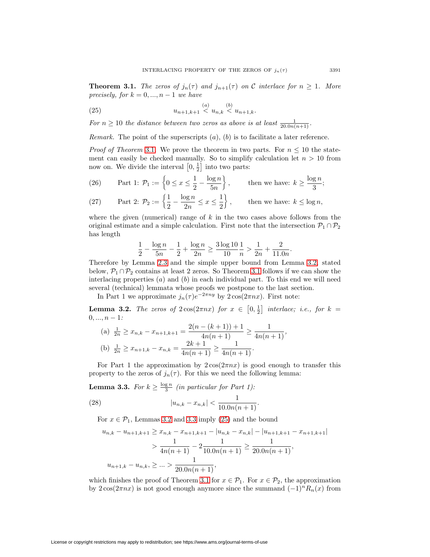<span id="page-6-0"></span>**Theorem 3.1.** The zeros of  $j_n(\tau)$  and  $j_{n+1}(\tau)$  on C interlace for  $n \geq 1$ . More precisely, for  $k = 0, ..., n - 1$  we have

<span id="page-6-1"></span>(25) 
$$
u_{n+1,k+1} \leq u_{n,k} \leq u_{n+1,k}.
$$

For  $n \geq 10$  the distance between two zeros as above is at least  $\frac{1}{20.0n(n+1)}$ .

*Remark.* The point of the superscripts  $(a)$ ,  $(b)$  is to facilitate a later reference.

*Proof of Theorem [3.1](#page-6-0).* We prove the theorem in two parts. For  $n \leq 10$  the statement can easily be checked manually. So to simplify calculation let  $n > 10$  from now on. We divide the interval  $\left[0, \frac{1}{2}\right]$  into two parts:

(26) Part 1: 
$$
\mathcal{P}_1 := \left\{ 0 \le x \le \frac{1}{2} - \frac{\log n}{5n} \right\}
$$
, then we have:  $k \ge \frac{\log n}{3}$ ;

(27) Part 2: 
$$
\mathcal{P}_2 := \left\{ \frac{1}{2} - \frac{\log n}{2n} \le x \le \frac{1}{2} \right\}
$$
, then we have:  $k \le \log n$ ,

where the given (numerical) range of  $k$  in the two cases above follows from the original estimate and a simple calculation. First note that the intersection  $\mathcal{P}_1 \cap \mathcal{P}_2$ has length

$$
\frac{1}{2} - \frac{\log n}{5n} - \frac{1}{2} + \frac{\log n}{2n} \ge \frac{3\log 10}{10} \frac{1}{n} > \frac{1}{2n} + \frac{2}{11.0n}.
$$

Therefore by Lemma [2.3](#page-2-5) and the simple upper bound from Lemma [3.2,](#page-6-2) stated below,  $\mathcal{P}_1 \cap \mathcal{P}_2$  contains at least 2 zeros. So Theorem [3.1](#page-6-0) follows if we can show the interlacing properties  $(a)$  and  $(b)$  in each individual part. To this end we will need several (technical) lemmata whose proofs we postpone to the last section.

In Part 1 we approximate  $j_n(\tau) e^{-2\pi ny}$  by  $2\cos(2\pi nx)$ . First note:

<span id="page-6-2"></span>**Lemma 3.2.** The zeros of  $2\cos(2\pi nx)$  for  $x \in [0, \frac{1}{2}]$  interlace; i.e., for  $k =$  $0, \ldots, n - 1$ :

(a) 
$$
\frac{1}{2n} \ge x_{n,k} - x_{n+1,k+1} = \frac{2(n - (k+1)) + 1}{4n(n+1)} \ge \frac{1}{4n(n+1)},
$$
  
(b)  $\frac{1}{2n} \ge x_{n+1,k} - x_{n,k} = \frac{2k+1}{4n(n+1)} \ge \frac{1}{4n(n+1)}.$ 

For Part 1 the approximation by  $2\cos(2\pi nx)$  is good enough to transfer this property to the zeros of  $j_n(\tau)$ . For this we need the following lemma:

<span id="page-6-3"></span>**Lemma 3.3.** For  $k \ge \frac{\log n}{3}$  (in particular for Part 1):

(28) 
$$
|u_{n,k} - x_{n,k}| < \frac{1}{10.0n(n+1)}.
$$

For  $x \in \mathcal{P}_1$ , Lemmas [3.2](#page-6-2) and [3.3](#page-6-3) imply [\(25\)](#page-6-1) and the bound

$$
u_{n,k} - u_{n+1,k+1} \ge x_{n,k} - x_{n+1,k+1} - |u_{n,k} - x_{n,k}| - |u_{n+1,k+1} - x_{n+1,k+1}|
$$
  
> 
$$
\frac{1}{4n(n+1)} - 2\frac{1}{10.0n(n+1)} \ge \frac{1}{20.0n(n+1)},
$$
  

$$
u_{n+1,k} - u_{n,k}, \ge ... > \frac{1}{20.0n(n+1)},
$$

which finishes the proof of Theorem [3.1](#page-6-0) for  $x \in \mathcal{P}_1$ . For  $x \in \mathcal{P}_2$ , the approximation by  $2\cos(2\pi nx)$  is not good enough anymore since the summand  $(-1)^n R_n(x)$  from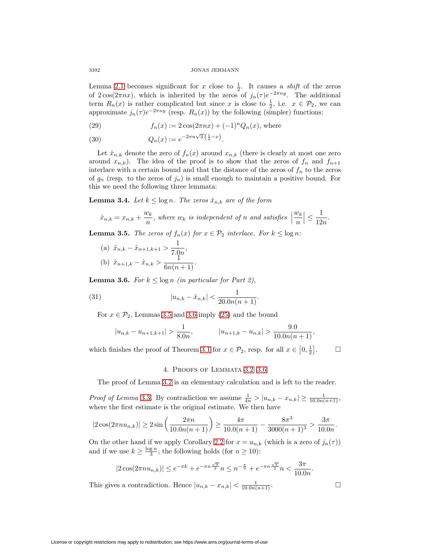Lemma [2.1](#page-1-2) becomes significant for x close to  $\frac{1}{2}$ . It causes a *shift* of the zeros of  $2\cos(2\pi nx)$ , which is inherited by the zeros of  $j_n(\tau) e^{-2\pi ny}$ . The additional term  $R_n(x)$  is rather complicated but since x is close to  $\frac{1}{2}$ , i.e.  $x \in \mathcal{P}_2$ , we can approximate  $j_n(\tau) e^{-2\pi ny}$  (resp.  $R_n(x)$ ) by the following (simpler) functions:

(29) 
$$
f_n(x) := 2\cos(2\pi nx) + (-1)^n Q_n(x), \text{ where}
$$

(30) 
$$
Q_n(x) := e^{-2\pi n\sqrt{3}\left(\frac{1}{2} - x\right)}.
$$

Let  $\hat{x}_{n,k}$  denote the zero of  $f_n(x)$  around  $x_{n,k}$  (there is clearly at most one zero around  $x_{n,k}$ ). The idea of the proof is to show that the zeros of  $f_n$  and  $f_{n+1}$ interlace with a certain bound and that the distance of the zeros of  $f_n$  to the zeros of  $g_n$  (resp. to the zeros of  $j_n$ ) is small enough to maintain a positive bound. For this we need the following three lemmata:

<span id="page-7-2"></span>**Lemma 3.4.** Let  $k \leq \log n$ . The zeros  $\hat{x}_{n,k}$  are of the form

$$
\hat{x}_{n,k} = x_{n,k} + \frac{w_k}{n}, \text{ where } w_k \text{ is independent of } n \text{ and satisfies } \left| \frac{w_k}{n} \right| \le \frac{1}{12n}.
$$

<span id="page-7-0"></span>**Lemma 3.5.** The zeros of  $f_n(x)$  for  $x \in \mathcal{P}_2$  interlace. For  $k \leq \log n$ :

(a) 
$$
\hat{x}_{n,k} - \hat{x}_{n+1,k+1} > \frac{1}{7.0n}
$$
,  
\n(b)  $\hat{x}_{n+1,k} - \hat{x}_{n,k} > \frac{1}{6n(n+1)}$ .

<span id="page-7-1"></span>**Lemma 3.6.** For  $k \leq \log n$  (in particular for Part 2),

(31) 
$$
|u_{n,k} - \hat{x}_{n,k}| < \frac{1}{20.0n(n+1)}.
$$

For  $x \in \mathcal{P}_2$ , Lemmas [3.5](#page-7-0) and [3.6](#page-7-1) imply [\(25\)](#page-6-1) and the bound

$$
|u_{n,k} - u_{n+1,k+1}| > \frac{1}{8.0n}, \quad |u_{n+1,k} - u_{n,k}| > \frac{9.0}{10.0n(n+1)},
$$

which finishes the proof of Theorem [3.1](#page-6-0) for  $x \in \mathcal{P}_2$ , resp. for all  $x \in [0, \frac{1}{2}]$  $\Box$ 

## 4. Proofs of Lemmata [3.2](#page-6-2)–[3.6](#page-7-1)

The proof of Lemma [3.2](#page-6-2) is an elementary calculation and is left to the reader.

*Proof of Lemma* [3.3](#page-6-3). By contradiction we assume  $\frac{1}{4n} > |u_{n,k} - x_{n,k}| \ge \frac{1}{10.0n(n+1)}$ , where the first estimate is the original estimate. We then have

$$
|2\cos(2\pi nu_{n,k})| \ge 2\sin\left(\frac{2\pi n}{10.0n(n+1)}\right) \ge \frac{4\pi}{10.0(n+1)} - \frac{8\pi^3}{3000(n+1)^3} > \frac{3\pi}{10.0n}.
$$

On the other hand if we apply Corollary [2.2](#page-2-0) for  $x = u_{n,k}$  (which is a zero of  $j_n(\tau)$ ) and if we use  $k \geq \frac{\log n}{3}$ , the following holds (for  $n \geq 10$ ):

$$
|2\cos(2\pi nu_{n,k})| \le e^{-\pi k} + e^{-\pi n \frac{\sqrt{3}}{2}} n \le n^{-\frac{\pi}{3}} + e^{-\pi n \frac{\sqrt{3}}{2}} n < \frac{3\pi}{10.0n}.
$$
\nThis gives a contradiction. Hence

\n
$$
|u_{n,k} - x_{n,k}| < \frac{1}{10.0n(n+1)}.
$$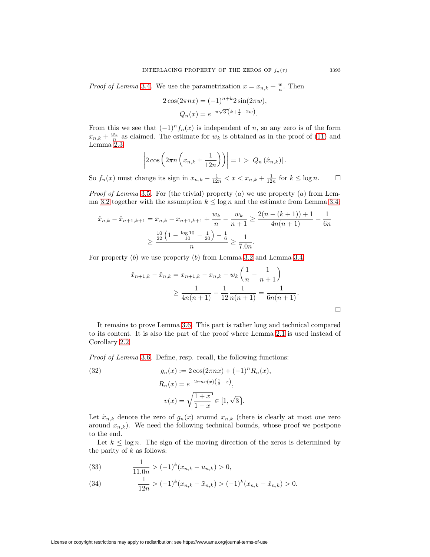*Proof of Lemma* [3.4](#page-7-2). We use the parametrization  $x = x_{n,k} + \frac{w}{n}$ . Then

$$
2\cos(2\pi nx) = (-1)^{n+k} 2\sin(2\pi w)
$$

$$
Q_n(x) = e^{-\pi\sqrt{3}(k+\frac{1}{2}-2w)}.
$$

From this we see that  $(-1)^n f_n(x)$  is independent of n, so any zero is of the form  $x_{n,k} + \frac{w_k}{n}$  as claimed. The estimate for  $w_k$  is obtained as in the proof of [\(11\)](#page-2-1) and Lemma [2.3:](#page-2-5)

$$
\left|2\cos\left(2\pi n\left(x_{n,k}\pm\frac{1}{12n}\right)\right)\right|=1>|Q_n(\hat{x}_{n,k})|.
$$

So  $f_n(x)$  must change its sign in  $x_{n,k} - \frac{1}{12n} < x < x_{n,k} + \frac{1}{12n}$  for  $k \le \log n$ .  $\Box$  $\Box$ 

*Proof of Lemma* [3.5](#page-7-0). For (the trivial) property  $(a)$  we use property  $(a)$  from Lem-ma [3.2](#page-6-2) together with the assumption  $k \leq \log n$  and the estimate from Lemma [3.4:](#page-7-2)

$$
\hat{x}_{n,k} - \hat{x}_{n+1,k+1} = x_{n,k} - x_{n+1,k+1} + \frac{w_k}{n} - \frac{w_k}{n+1} \ge \frac{2(n - (k+1)) + 1}{4n(n+1)} - \frac{1}{6n}
$$

$$
\ge \frac{\frac{10}{22} \left( 1 - \frac{\log 10}{10} - \frac{1}{20} \right) - \frac{1}{6}}{n} \ge \frac{1}{7.0n}.
$$

For property  $(b)$  we use property  $(b)$  from Lemma [3.2](#page-6-2) and Lemma [3.4:](#page-7-2)

$$
\hat{x}_{n+1,k} - \hat{x}_{n,k} = x_{n+1,k} - x_{n,k} - w_k \left( \frac{1}{n} - \frac{1}{n+1} \right)
$$
  
\n
$$
\geq \frac{1}{4n(n+1)} - \frac{1}{12} \frac{1}{n(n+1)} = \frac{1}{6n(n+1)}.
$$

It remains to prove Lemma [3.6.](#page-7-1) This part is rather long and technical compared to its content. It is also the part of the proof where Lemma [2.1](#page-1-2) is used instead of Corollary [2.2.](#page-2-0)

Proof of Lemma [3.6](#page-7-1). Define, resp. recall, the following functions:

(32) 
$$
g_n(x) := 2 \cos(2\pi nx) + (-1)^n R_n(x),
$$

$$
R_n(x) = e^{-2\pi n v(x) \left(\frac{1}{2} - x\right)},
$$

$$
v(x) = \sqrt{\frac{1+x}{1-x}} \in [1, \sqrt{3}].
$$

Let  $\tilde{x}_{n,k}$  denote the zero of  $g_n(x)$  around  $x_{n,k}$  (there is clearly at most one zero around  $x_{n,k}$ ). We need the following technical bounds, whose proof we postpone to the end.

Let  $k \leq \log n$ . The sign of the moving direction of the zeros is determined by the parity of  $k$  as follows:

<span id="page-8-0"></span>(33) 
$$
\frac{1}{11.0n} > (-1)^k (x_{n,k} - u_{n,k}) > 0,
$$

<span id="page-8-1"></span>(34) 
$$
\frac{1}{12n} > (-1)^k (x_{n,k} - \tilde{x}_{n,k}) > (-1)^k (x_{n,k} - \hat{x}_{n,k}) > 0.
$$

License or copyright restrictions may apply to redistribution; see https://www.ams.org/journal-terms-of-use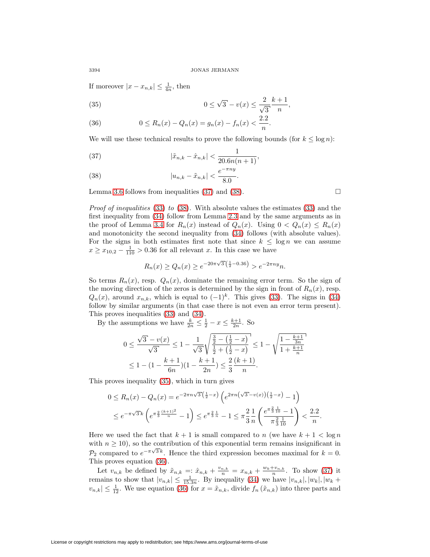If moreover  $|x - x_{n,k}| \leq \frac{1}{4n}$ , then

<span id="page-9-2"></span>(35) 
$$
0 \le \sqrt{3} - v(x) \le \frac{2}{\sqrt{3}} \frac{k+1}{n},
$$

<span id="page-9-3"></span>(36) 
$$
0 \le R_n(x) - Q_n(x) = g_n(x) - f_n(x) < \frac{2.2}{n}.
$$

We will use these technical results to prove the following bounds (for  $k \leq \log n$ ):

<span id="page-9-0"></span>(37) 
$$
|\tilde{x}_{n,k} - \hat{x}_{n,k}| < \frac{1}{20.6n(n+1)},
$$

<span id="page-9-1"></span>(38) 
$$
|u_{n,k} - \tilde{x}_{n,k}| < \frac{e^{-\pi ny}}{8.0}.
$$

Lemma [3.6](#page-7-1) follows from inequalities [\(37\)](#page-9-0) and [\(38\)](#page-9-1).  $\Box$ 

Proof of inequalities [\(33\)](#page-8-0) to [\(38\)](#page-9-1). With absolute values the estimates (33) and the first inequality from [\(34\)](#page-8-1) follow from Lemma [2.3](#page-2-5) and by the same arguments as in the proof of Lemma [3.4](#page-7-2) for  $R_n(x)$  instead of  $Q_n(x)$ . Using  $0 < Q_n(x) \le R_n(x)$ and monotonicity the second inequality from [\(34\)](#page-8-1) follows (with absolute values). For the signs in both estimates first note that since  $k \leq \log n$  we can assume  $x \geq x_{10,2} - \frac{1}{110} > 0.36$  for all relevant x. In this case we have

$$
R_n(x) \ge Q_n(x) \ge e^{-20\pi\sqrt{3}\left(\frac{1}{2} - 0.36\right)} > e^{-2\pi ny}n.
$$

So terms  $R_n(x)$ , resp.  $Q_n(x)$ , dominate the remaining error term. So the sign of the moving direction of the zeros is determined by the sign in front of  $R_n(x)$ , resp.  $Q_n(x)$ , around  $x_{n,k}$ , which is equal to  $(-1)^k$ . This gives [\(33\)](#page-8-0). The signs in [\(34\)](#page-8-1) follow by similar arguments (in that case there is not even an error term present). This proves inequalities [\(33\)](#page-8-0) and [\(34\)](#page-8-1).

By the assumptions we have  $\frac{k}{2n} \leq \frac{1}{2} - x \leq \frac{k+1}{2n}$ . So

$$
0 \le \frac{\sqrt{3} - v(x)}{\sqrt{3}} \le 1 - \frac{1}{\sqrt{3}} \sqrt{\frac{\frac{3}{2} - (\frac{1}{2} - x)}{\frac{1}{2} + (\frac{1}{2} - x)}} \le 1 - \sqrt{\frac{1 - \frac{k+1}{3n}}{1 + \frac{k+1}{n}}}
$$
  

$$
\le 1 - (1 - \frac{k+1}{6n})(1 - \frac{k+1}{2n}) \le \frac{2}{3} \frac{(k+1)}{n}.
$$

This proves inequality [\(35\)](#page-9-2), which in turn gives

$$
0 \le R_n(x) - Q_n(x) = e^{-2\pi n\sqrt{3}\left(\frac{1}{2} - x\right)} \left(e^{2\pi n\left(\sqrt{3} - v(x)\right)\left(\frac{1}{2} - x\right)} - 1\right)
$$
  

$$
\le e^{-\pi\sqrt{3}k} \left(e^{\pi \frac{2}{3}\frac{(k+1)^2}{n}} - 1\right) \le e^{\pi \frac{2}{3}\frac{1}{n}} - 1 \le \pi \frac{2}{3}\frac{1}{n} \left(\frac{e^{\pi \frac{2}{3}\frac{1}{10}} - 1}{\pi \frac{2}{3}\frac{1}{10}}\right) < \frac{2.2}{n}.
$$

Here we used the fact that  $k + 1$  is small compared to n (we have  $k + 1 < \log n$ ) with  $n \geq 10$ , so the contribution of this exponential term remains insignificant in  $\overline{P_2}$  compared to  $e^{-\pi\sqrt{3}k}$ . Hence the third expression becomes maximal for  $k = 0$ . This proves equation [\(36\)](#page-9-3).

Let  $v_{n,k}$  be defined by  $\tilde{x}_{n,k} = \tilde{x}_{n,k} + \frac{v_{n,k}}{n} = x_{n,k} + \frac{w_k + v_{n,k}}{n}$ . To show [\(37\)](#page-9-0) it remains to show that  $|v_{n,k}| \leq \frac{1}{15.3n}$ . By inequality [\(34\)](#page-8-1) we have  $|v_{n,k}|, |w_k|, |w_k +$  $|v_{n,k}| \leq \frac{1}{12}$ . We use equation [\(36\)](#page-9-3) for  $x = \tilde{x}_{n,k}$ , divide  $f_n(\tilde{x}_{n,k})$  into three parts and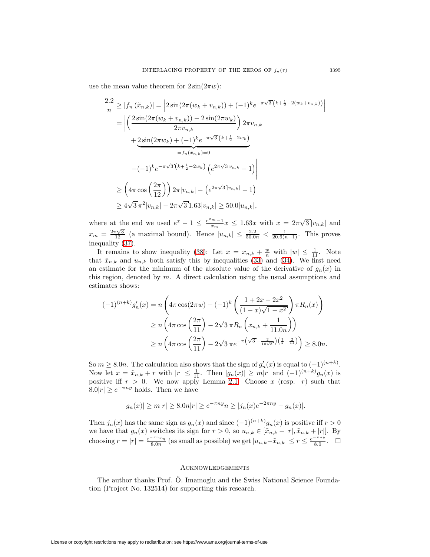use the mean value theorem for  $2\sin(2\pi w)$ :

$$
\frac{2.2}{n} \ge |f_n(\tilde{x}_{n,k})| = |2\sin(2\pi(w_k + v_{n,k})) + (-1)^k e^{-\pi\sqrt{3}(k + \frac{1}{2} - 2(w_k + v_{n,k}))}|
$$
  
\n
$$
= \left| \left( \frac{2\sin(2\pi(w_k + v_{n,k})) - 2\sin(2\pi w_k)}{2\pi v_{n,k}} \right) 2\pi v_{n,k} + \frac{2\sin(2\pi w_k) + (-1)^k e^{-\pi\sqrt{3}(k + \frac{1}{2} - 2w_k)}}{-f_n(\hat{x}_{n,k}) = 0}
$$
  
\n
$$
-(-1)^k e^{-\pi\sqrt{3}(k + \frac{1}{2} - 2w_k)} (e^{2\pi\sqrt{3}v_{n,k}} - 1) \right|
$$
  
\n
$$
\ge (4\pi \cos\left(\frac{2\pi}{12}\right) 2\pi |v_{n,k}| - (e^{2\pi\sqrt{3}|v_{n,k}|} - 1)
$$
  
\n
$$
\ge 4\sqrt{3}\pi^2 |v_{n,k}| - 2\pi\sqrt{3}1.63|v_{n,k}| \ge 50.0|u_{n,k}|,
$$

where at the end we used  $e^x - 1 \le \frac{e^{x_m}-1}{x_m}x \le 1.63x$  with  $x = 2\pi\sqrt{3}|v_{n,k}|$  and  $x_m = \frac{2\pi\sqrt{3}}{12}$  (a maximal bound). Hence  $|u_{n,k}| \leq \frac{2.2}{50.0n} < \frac{1}{20.6(n+1)}$ . This proves inequality [\(37\)](#page-9-0).

It remains to show inequality [\(38\)](#page-9-1): Let  $x = x_{n,k} + \frac{w}{n}$  with  $|w| \leq \frac{1}{11}$ . Note that  $\tilde{x}_{n,k}$  and  $u_{n,k}$  both satisfy this by inequalities [\(33\)](#page-8-0) and [\(34\)](#page-8-1). We first need an estimate for the minimum of the absolute value of the derivative of  $g_n(x)$  in this region, denoted by  $m$ . A direct calculation using the usual assumptions and estimates shows:

$$
(-1)^{(n+k)} g'_n(x) = n \left( 4\pi \cos(2\pi w) + (-1)^k \left( \frac{1+2x-2x^2}{(1-x)\sqrt{1-x^2}} \right) \pi R_n(x) \right)
$$
  
\n
$$
\ge n \left( 4\pi \cos \left( \frac{2\pi}{11} \right) - 2\sqrt{3} \pi R_n \left( x_{n,k} + \frac{1}{11.0n} \right) \right)
$$
  
\n
$$
\ge n \left( 4\pi \cos \left( \frac{2\pi}{11} \right) - 2\sqrt{3} \pi e^{-\pi \left( \sqrt{3} - \frac{2}{10\sqrt{3}} \right) \left( \frac{1}{2} - \frac{2}{11} \right)} \right) \ge 8.0n.
$$

So  $m \geq 8.0n$ . The calculation also shows that the sign of  $g'_n(x)$  is equal to  $(-1)^{(n+k)}$ . Now let  $x = \tilde{x}_{n,k} + r$  with  $|r| \leq \frac{1}{11}$ . Then  $|g_n(x)| \geq m|r|$  and  $(-1)^{(n+k)}g_n(x)$  is positive iff  $r > 0$ . We now apply Lemma [2.1:](#page-1-2) Choose x (resp. r) such that  $8.0|r| \geq e^{-\pi ny}$  holds. Then we have

$$
|g_n(x)| \ge m|r| \ge 8.0n|r| \ge e^{-\pi ny}n \ge |j_n(x)e^{-2\pi ny} - g_n(x)|.
$$

Then  $j_n(x)$  has the same sign as  $g_n(x)$  and since  $(-1)^{(n+k)}g_n(x)$  is positive iff  $r > 0$ we have that  $g_n(x)$  switches its sign for  $r > 0$ , so  $u_{n,k} \in [\tilde{x}_{n,k} - |r|, \tilde{x}_{n,k} + |r|]$ . By choosing  $r = |r| = \frac{e^{-\pi ny}n}{8.0n}$  (as small as possible) we get  $|u_{n,k}-\tilde{x}_{n,k}| \le r \le \frac{e^{-\pi ny}}{8.0}$ .  $\Box$ 

## Acknowledgements

The author thanks Prof. Ö. Imamoglu and the Swiss National Science Foundation (Project No. 132514) for supporting this research.

License or copyright restrictions may apply to redistribution; see https://www.ams.org/journal-terms-of-use